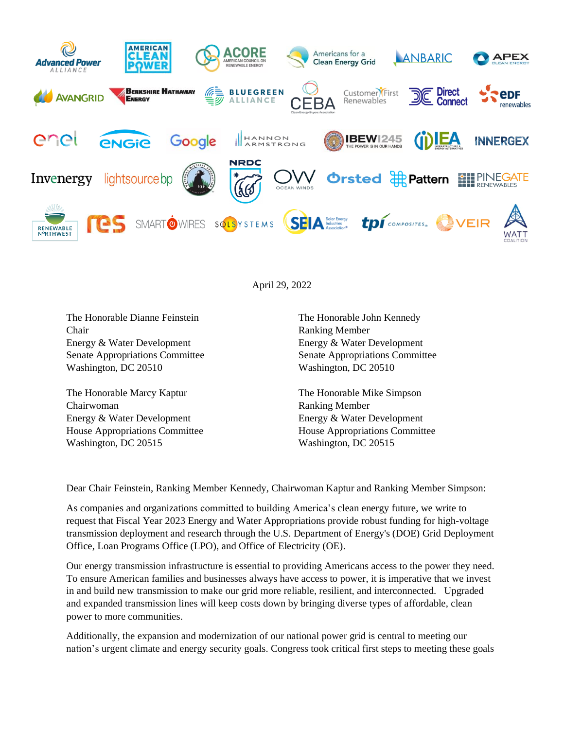

April 29, 2022

The Honorable Dianne Feinstein Chair Energy & Water Development Senate Appropriations Committee Washington, DC 20510

The Honorable Marcy Kaptur Chairwoman Energy & Water Development House Appropriations Committee Washington, DC 20515

The Honorable John Kennedy Ranking Member Energy & Water Development Senate Appropriations Committee Washington, DC 20510

The Honorable Mike Simpson Ranking Member Energy & Water Development House Appropriations Committee Washington, DC 20515

Dear Chair Feinstein, Ranking Member Kennedy, Chairwoman Kaptur and Ranking Member Simpson:

As companies and organizations committed to building America's clean energy future, we write to request that Fiscal Year 2023 Energy and Water Appropriations provide robust funding for high-voltage transmission deployment and research through the U.S. Department of Energy's (DOE) Grid Deployment Office, Loan Programs Office (LPO), and Office of Electricity (OE).

Our energy transmission infrastructure is essential to providing Americans access to the power they need. To ensure American families and businesses always have access to power, it is imperative that we invest in and build new transmission to make our grid more reliable, resilient, and interconnected. Upgraded and expanded transmission lines will keep costs down by bringing diverse types of affordable, clean power to more communities.

Additionally, the expansion and modernization of our national power grid is central to meeting our nation's urgent climate and energy security goals. Congress took critical first steps to meeting these goals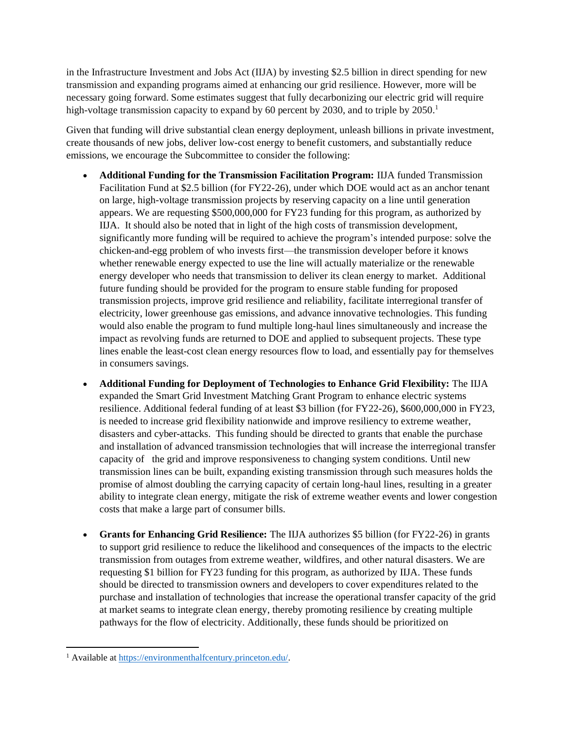in the Infrastructure Investment and Jobs Act (IIJA) by investing \$2.5 billion in direct spending for new transmission and expanding programs aimed at enhancing our grid resilience. However, more will be necessary going forward. Some estimates suggest that fully decarbonizing our electric grid will require high-voltage transmission capacity to expand by 60 percent by 2030, and to triple by 2050.<sup>1</sup>

Given that funding will drive substantial clean energy deployment, unleash billions in private investment, create thousands of new jobs, deliver low-cost energy to benefit customers, and substantially reduce emissions, we encourage the Subcommittee to consider the following:

- **Additional Funding for the Transmission Facilitation Program:** IIJA funded Transmission Facilitation Fund at \$2.5 billion (for FY22-26), under which DOE would act as an anchor tenant on large, high-voltage transmission projects by reserving capacity on a line until generation appears. We are requesting \$500,000,000 for FY23 funding for this program, as authorized by IIJA. It should also be noted that in light of the high costs of transmission development, significantly more funding will be required to achieve the program's intended purpose: solve the chicken-and-egg problem of who invests first—the transmission developer before it knows whether renewable energy expected to use the line will actually materialize or the renewable energy developer who needs that transmission to deliver its clean energy to market. Additional future funding should be provided for the program to ensure stable funding for proposed transmission projects, improve grid resilience and reliability, facilitate interregional transfer of electricity, lower greenhouse gas emissions, and advance innovative technologies. This funding would also enable the program to fund multiple long-haul lines simultaneously and increase the impact as revolving funds are returned to DOE and applied to subsequent projects. These type lines enable the least-cost clean energy resources flow to load, and essentially pay for themselves in consumers savings.
- **Additional Funding for Deployment of Technologies to Enhance Grid Flexibility:** The IIJA expanded the Smart Grid Investment Matching Grant Program to enhance electric systems resilience. Additional federal funding of at least \$3 billion (for FY22-26), \$600,000,000 in FY23, is needed to increase grid flexibility nationwide and improve resiliency to extreme weather, disasters and cyber-attacks. This funding should be directed to grants that enable the purchase and installation of advanced transmission technologies that will increase the interregional transfer capacity of the grid and improve responsiveness to changing system conditions. Until new transmission lines can be built, expanding existing transmission through such measures holds the promise of almost doubling the carrying capacity of certain long-haul lines, resulting in a greater ability to integrate clean energy, mitigate the risk of extreme weather events and lower congestion costs that make a large part of consumer bills.
- **Grants for Enhancing Grid Resilience:** The IIJA authorizes \$5 billion (for FY22-26) in grants to support grid resilience to reduce the likelihood and consequences of the impacts to the electric transmission from outages from extreme weather, wildfires, and other natural disasters. We are requesting \$1 billion for FY23 funding for this program, as authorized by IIJA. These funds should be directed to transmission owners and developers to cover expenditures related to the purchase and installation of technologies that increase the operational transfer capacity of the grid at market seams to integrate clean energy, thereby promoting resilience by creating multiple pathways for the flow of electricity. Additionally, these funds should be prioritized on

<sup>1</sup> Available at [https://environmenthalfcentury.princeton.edu/.](https://environmenthalfcentury.princeton.edu/)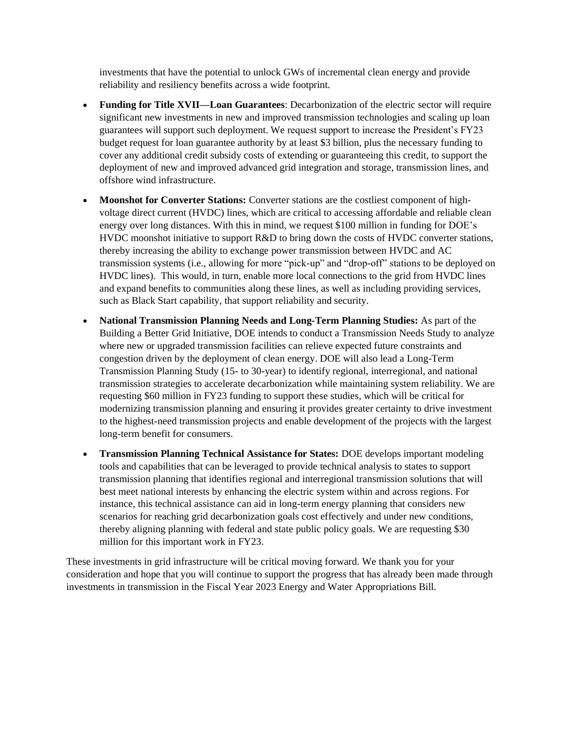investments that have the potential to unlock GWs of incremental clean energy and provide reliability and resiliency benefits across a wide footprint.

- **Funding for Title XVII—Loan Guarantees**: Decarbonization of the electric sector will require significant new investments in new and improved transmission technologies and scaling up loan guarantees will support such deployment. We request support to increase the President's FY23 budget request for loan guarantee authority by at least \$3 billion, plus the necessary funding to cover any additional credit subsidy costs of extending or guaranteeing this credit, to support the deployment of new and improved advanced grid integration and storage, transmission lines, and offshore wind infrastructure.
- **Moonshot for Converter Stations:** Converter stations are the costliest component of highvoltage direct current (HVDC) lines, which are critical to accessing affordable and reliable clean energy over long distances. With this in mind, we request \$100 million in funding for DOE's HVDC moonshot initiative to support R&D to bring down the costs of HVDC converter stations, thereby increasing the ability to exchange power transmission between HVDC and AC transmission systems (i.e., allowing for more "pick-up" and "drop-off" stations to be deployed on HVDC lines). This would, in turn, enable more local connections to the grid from HVDC lines and expand benefits to communities along these lines, as well as including providing services, such as Black Start capability, that support reliability and security.
- **National Transmission Planning Needs and Long-Term Planning Studies:** As part of the Building a Better Grid Initiative, DOE intends to conduct a Transmission Needs Study to analyze where new or upgraded transmission facilities can relieve expected future constraints and congestion driven by the deployment of clean energy. DOE will also lead a Long-Term Transmission Planning Study (15- to 30-year) to identify regional, interregional, and national transmission strategies to accelerate decarbonization while maintaining system reliability. We are requesting \$60 million in FY23 funding to support these studies, which will be critical for modernizing transmission planning and ensuring it provides greater certainty to drive investment to the highest-need transmission projects and enable development of the projects with the largest long-term benefit for consumers.
- **Transmission Planning Technical Assistance for States:** DOE develops important modeling tools and capabilities that can be leveraged to provide technical analysis to states to support transmission planning that identifies regional and interregional transmission solutions that will best meet national interests by enhancing the electric system within and across regions. For instance, this technical assistance can aid in long-term energy planning that considers new scenarios for reaching grid decarbonization goals cost effectively and under new conditions, thereby aligning planning with federal and state public policy goals. We are requesting \$30 million for this important work in FY23.

These investments in grid infrastructure will be critical moving forward. We thank you for your consideration and hope that you will continue to support the progress that has already been made through investments in transmission in the Fiscal Year 2023 Energy and Water Appropriations Bill.